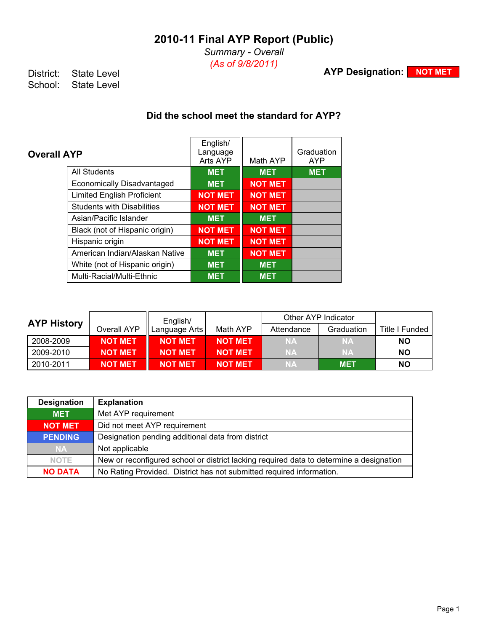*Summary - Overall (As of 9/8/2011)*

**AYP Designation: NOT MET**

District: State Level<br>School: State Level State Level

## **Did the school meet the standard for AYP?**

| <b>Overall AYP</b>                | English/<br>Language<br>Arts AYP | Math AYP       | Graduation<br><b>AYP</b> |
|-----------------------------------|----------------------------------|----------------|--------------------------|
| <b>All Students</b>               | <b>MET</b>                       | <b>MET</b>     | <b>MET</b>               |
| <b>Economically Disadvantaged</b> | <b>MET</b>                       | <b>NOT MET</b> |                          |
| <b>Limited English Proficient</b> | <b>NOT MET</b>                   | <b>NOT MET</b> |                          |
| <b>Students with Disabilities</b> | <b>NOT MET</b>                   | <b>NOT MET</b> |                          |
| Asian/Pacific Islander            | <b>MET</b>                       | <b>MET</b>     |                          |
| Black (not of Hispanic origin)    | <b>NOT MET</b>                   | <b>NOT MET</b> |                          |
| Hispanic origin                   | <b>NOT MET</b>                   | <b>NOT MET</b> |                          |
| American Indian/Alaskan Native    | <b>MET</b>                       | <b>NOT MET</b> |                          |
| White (not of Hispanic origin)    | <b>MET</b>                       | <b>MET</b>     |                          |
| Multi-Racial/Multi-Ethnic         | <b>MET</b>                       | <b>MET</b>     |                          |

|                    |                | English/       |                |            | Other AYP Indicator |                |
|--------------------|----------------|----------------|----------------|------------|---------------------|----------------|
| <b>AYP History</b> | Overall AYP    | Language Arts  | Math AYP       | Attendance | Graduation          | Title I Funded |
| 2008-2009          | <b>NOT MET</b> | <b>NOT MET</b> | <b>NOT MET</b> | <b>NA</b>  | <b>NA</b>           | NΟ             |
| 2009-2010          | <b>NOT MET</b> | <b>NOT MET</b> | <b>NOT MET</b> | <b>NA</b>  | <b>NA</b>           | NO.            |
| 2010-2011          | <b>NOT MET</b> | <b>NOT MET</b> | <b>NOT MET</b> | <b>NA</b>  | <b>MET</b>          | NΟ             |

| <b>Designation</b> | <b>Explanation</b>                                                                      |
|--------------------|-----------------------------------------------------------------------------------------|
| <b>MET</b>         | Met AYP requirement                                                                     |
| <b>NOT MET</b>     | Did not meet AYP requirement                                                            |
| <b>PENDING</b>     | Designation pending additional data from district                                       |
| <b>NA</b>          | Not applicable                                                                          |
| <b>NOTE</b>        | New or reconfigured school or district lacking required data to determine a designation |
| <b>NO DATA</b>     | No Rating Provided. District has not submitted required information.                    |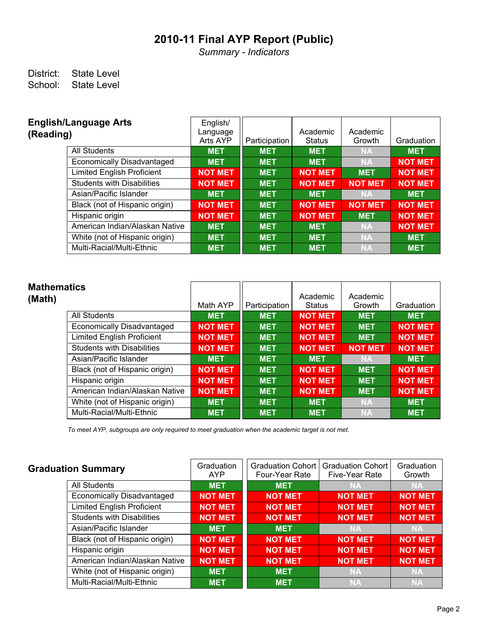*Summary - Indicators*

### District: State Level<br>School: State Level State Level

| <b>English/Language Arts</b><br>(Reading) | English/<br>Language<br>Arts AYP | Participation | Academic<br><b>Status</b> | Academic<br>Growth | Graduation     |
|-------------------------------------------|----------------------------------|---------------|---------------------------|--------------------|----------------|
| <b>All Students</b>                       | <b>MET</b>                       | <b>MET</b>    | <b>MET</b>                | <b>NA</b>          | <b>MET</b>     |
| <b>Economically Disadvantaged</b>         | <b>MET</b>                       | <b>MET</b>    | <b>MET</b>                | <b>NA</b>          | <b>NOT MET</b> |
| <b>Limited English Proficient</b>         | <b>NOT MET</b>                   | <b>MET</b>    | <b>NOT MET</b>            | <b>MET</b>         | <b>NOT MET</b> |
| <b>Students with Disabilities</b>         | <b>NOT MET</b>                   | <b>MET</b>    | <b>NOT MET</b>            | <b>NOT MET</b>     | <b>NOT MET</b> |
| Asian/Pacific Islander                    | <b>MET</b>                       | <b>MET</b>    | <b>MET</b>                | <b>NA</b>          | <b>MET</b>     |
| Black (not of Hispanic origin)            | <b>NOT MET</b>                   | <b>MET</b>    | <b>NOT MET</b>            | <b>NOT MET</b>     | <b>NOT MET</b> |
| Hispanic origin                           | <b>NOT MET</b>                   | <b>MET</b>    | <b>NOT MET</b>            | <b>MET</b>         | <b>NOT MET</b> |
| American Indian/Alaskan Native            | <b>MET</b>                       | <b>MET</b>    | <b>MET</b>                | <b>NA</b>          | <b>NOT MET</b> |
| White (not of Hispanic origin)            | <b>MET</b>                       | <b>MET</b>    | <b>MET</b>                | <b>NA</b>          | <b>MET</b>     |
| Multi-Racial/Multi-Ethnic                 | <b>MET</b>                       | <b>MET</b>    | <b>MET</b>                | <b>NA</b>          | <b>MET</b>     |

| <b>Mathematics</b><br>(Math) |                                   | Math AYP       | Participation | Academic<br><b>Status</b> | Academic<br>Growth | Graduation     |
|------------------------------|-----------------------------------|----------------|---------------|---------------------------|--------------------|----------------|
|                              | <b>All Students</b>               | <b>MET</b>     | <b>MET</b>    | <b>NOT MET</b>            | <b>MET</b>         | <b>MET</b>     |
|                              | <b>Economically Disadvantaged</b> | <b>NOT MET</b> | <b>MET</b>    | <b>NOT MET</b>            | <b>MET</b>         | <b>NOT MET</b> |
|                              | <b>Limited English Proficient</b> | <b>NOT MET</b> | <b>MET</b>    | <b>NOT MET</b>            | <b>MET</b>         | <b>NOT MET</b> |
|                              | <b>Students with Disabilities</b> | <b>NOT MET</b> | <b>MET</b>    | <b>NOT MET</b>            | <b>NOT MET</b>     | <b>NOT MET</b> |
|                              | Asian/Pacific Islander            | <b>MET</b>     | <b>MET</b>    | <b>MET</b>                | <b>NA</b>          | <b>MET</b>     |
|                              | Black (not of Hispanic origin)    | <b>NOT MET</b> | <b>MET</b>    | <b>NOT MET</b>            | <b>MET</b>         | <b>NOT MET</b> |
|                              | Hispanic origin                   | <b>NOT MET</b> | <b>MET</b>    | <b>NOT MET</b>            | <b>MET</b>         | <b>NOT MET</b> |
|                              | American Indian/Alaskan Native    | <b>NOT MET</b> | <b>MET</b>    | <b>NOT MET</b>            | <b>MET</b>         | <b>NOT MET</b> |
|                              | White (not of Hispanic origin)    | <b>MET</b>     | <b>MET</b>    | <b>MET</b>                | <b>NA</b>          | <b>MET</b>     |
|                              | Multi-Racial/Multi-Ethnic         | <b>MET</b>     | <b>MET</b>    | <b>MET</b>                | <b>NA</b>          | <b>MET</b>     |

*To meet AYP, subgroups are only required to meet graduation when the academic target is not met.*

| <b>Graduation Summary</b>         | Graduation<br><b>AYP</b> | <b>Graduation Cohort</b><br>Four-Year Rate | <b>Graduation Cohort</b><br>Five-Year Rate | Graduation<br>Growth |
|-----------------------------------|--------------------------|--------------------------------------------|--------------------------------------------|----------------------|
| <b>All Students</b>               | <b>MET</b>               | <b>MET</b>                                 | <b>NA</b>                                  | <b>NA</b>            |
| Economically Disadvantaged        | <b>NOT MET</b>           | <b>NOT MET</b>                             | <b>NOT MET</b>                             | <b>NOT MET</b>       |
| <b>Limited English Proficient</b> | <b>NOT MET</b>           | <b>NOT MET</b>                             | <b>NOT MET</b>                             | <b>NOT MET</b>       |
| <b>Students with Disabilities</b> | <b>NOT MET</b>           | <b>NOT MET</b>                             | <b>NOT MET</b>                             | <b>NOT MET</b>       |
| Asian/Pacific Islander            | <b>MET</b>               | <b>MET</b>                                 | <b>NA</b>                                  | <b>NA</b>            |
| Black (not of Hispanic origin)    | <b>NOT MET</b>           | <b>NOT MET</b>                             | <b>NOT MET</b>                             | <b>NOT MET</b>       |
| Hispanic origin                   | <b>NOT MET</b>           | <b>NOT MET</b>                             | <b>NOT MET</b>                             | <b>NOT MET</b>       |
| American Indian/Alaskan Native    | <b>NOT MET</b>           | <b>NOT MET</b>                             | <b>NOT MET</b>                             | <b>NOT MET</b>       |
| White (not of Hispanic origin)    | <b>MET</b>               | <b>MET</b>                                 | <b>NA</b>                                  | <b>NA</b>            |
| Multi-Racial/Multi-Ethnic         | <b>MET</b>               | <b>MET</b>                                 | <b>NA</b>                                  | <b>NA</b>            |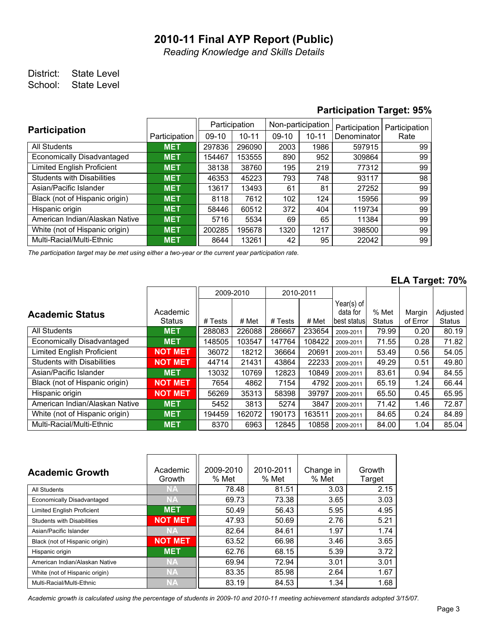*Reading Knowledge and Skills Details*

### District: State Level School: State Level

### **Participation Target: 95%**

| <b>Participation</b>              |               | Participation |           | Non-participation |           | Participation | Participation |  |
|-----------------------------------|---------------|---------------|-----------|-------------------|-----------|---------------|---------------|--|
|                                   | Participation | 09-10         | $10 - 11$ | $09-10$           | $10 - 11$ | Denominator   | Rate          |  |
| <b>All Students</b>               | <b>MET</b>    | 297836        | 296090    | 2003              | 1986      | 597915        | 99            |  |
| Economically Disadvantaged        | <b>MET</b>    | 154467        | 153555    | 890               | 952       | 309864        | 99            |  |
| <b>Limited English Proficient</b> | <b>MET</b>    | 38138         | 38760     | 195               | 219       | 77312         | 99            |  |
| <b>Students with Disabilities</b> | <b>MET</b>    | 46353         | 45223     | 793               | 748       | 93117         | 98            |  |
| Asian/Pacific Islander            | <b>MET</b>    | 13617         | 13493     | 61                | 81        | 27252         | 99            |  |
| Black (not of Hispanic origin)    | <b>MET</b>    | 8118          | 7612      | 102               | 124       | 15956         | 99            |  |
| Hispanic origin                   | <b>MET</b>    | 58446         | 60512     | 372               | 404       | 119734        | 99            |  |
| American Indian/Alaskan Native    | <b>MET</b>    | 5716          | 5534      | 69                | 65        | 11384         | 99            |  |
| White (not of Hispanic origin)    | <b>MET</b>    | 200285        | 195678    | 1320              | 1217      | 398500        | 99            |  |
| Multi-Racial/Multi-Ethnic         | <b>MET</b>    | 8644          | 13261     | 42                | 95        | 22042         | 99            |  |

*The participation target may be met using either a two-year or the current year participation rate.*

#### **ELA Target: 70%**

|                                   |                |         | 2009-2010 | 2010-2011 |        |               |               |          |               |
|-----------------------------------|----------------|---------|-----------|-----------|--------|---------------|---------------|----------|---------------|
|                                   |                |         |           |           |        | Year(s) of    |               |          |               |
| <b>Academic Status</b>            | Academic       |         |           |           |        | data for      | % Met         | Margin   | Adjusted      |
|                                   | <b>Status</b>  | # Tests | # Met     | # Tests   | # Met  | Ibest statusl | <b>Status</b> | of Error | <b>Status</b> |
| All Students                      | <b>MET</b>     | 288083  | 226088    | 286667    | 233654 | 2009-2011     | 79.99         | 0.20     | 80.19         |
| Economically Disadvantaged        | <b>MET</b>     | 148505  | 103547    | 147764    | 108422 | 2009-2011     | 71.55         | 0.28     | 71.82         |
| <b>Limited English Proficient</b> | <b>NOT MET</b> | 36072   | 18212     | 36664     | 20691  | 2009-2011     | 53.49         | 0.56     | 54.05         |
| <b>Students with Disabilities</b> | <b>NOT MET</b> | 44714   | 21431     | 43864     | 22233  | 2009-2011     | 49.29         | 0.51     | 49.80         |
| Asian/Pacific Islander            | <b>MET</b>     | 13032   | 10769     | 12823     | 10849  | 2009-2011     | 83.61         | 0.94     | 84.55         |
| Black (not of Hispanic origin)    | <b>NOT MET</b> | 7654    | 4862      | 7154      | 4792   | 2009-2011     | 65.19         | 1.24     | 66.44         |
| Hispanic origin                   | <b>NOT MET</b> | 56269   | 35313     | 58398     | 39797  | 2009-2011     | 65.50         | 0.45     | 65.95         |
| American Indian/Alaskan Native    | <b>MET</b>     | 5452    | 3813      | 5274      | 3847   | 2009-2011     | 71.42         | 1.46     | 72.87         |
| White (not of Hispanic origin)    | <b>MET</b>     | 194459  | 162072    | 190173    | 163511 | 2009-2011     | 84.65         | 0.24     | 84.89         |
| Multi-Racial/Multi-Ethnic         | <b>MET</b>     | 8370    | 6963      | 12845     | 10858  | 2009-2011     | 84.00         | 1.04     | 85.04         |

| <b>Academic Growth</b>            | Academic<br>Growth | 2009-2010<br>% Met | 2010-2011<br>% Met | Change in<br>% Met | Growth<br>Target |
|-----------------------------------|--------------------|--------------------|--------------------|--------------------|------------------|
| All Students                      | NA                 | 78.48              | 81.51              | 3.03               | 2.15             |
| Economically Disadvantaged        | NA                 | 69.73              | 73.38              | 3.65               | 3.03             |
| <b>Limited English Proficient</b> | <b>MET</b>         | 50.49              | 56.43              | 5.95               | 4.95             |
| <b>Students with Disabilities</b> | <b>NOT MET</b>     | 47.93              | 50.69              | 2.76               | 5.21             |
| Asian/Pacific Islander            | <b>NA</b>          | 82.64              | 84.61              | 1.97               | 1.74             |
| Black (not of Hispanic origin)    | <b>NOT MET</b>     | 63.52              | 66.98              | 3.46               | 3.65             |
| Hispanic origin                   | <b>MET</b>         | 62.76              | 68.15              | 5.39               | 3.72             |
| American Indian/Alaskan Native    | <b>NA</b>          | 69.94              | 72.94              | 3.01               | 3.01             |
| White (not of Hispanic origin)    | <b>NA</b>          | 83.35              | 85.98              | 2.64               | 1.67             |
| Multi-Racial/Multi-Ethnic         | <b>NA</b>          | 83.19              | 84.53              | 1.34               | 1.68             |

*Academic growth is calculated using the percentage of students in 2009-10 and 2010-11 meeting achievement standards adopted 3/15/07.*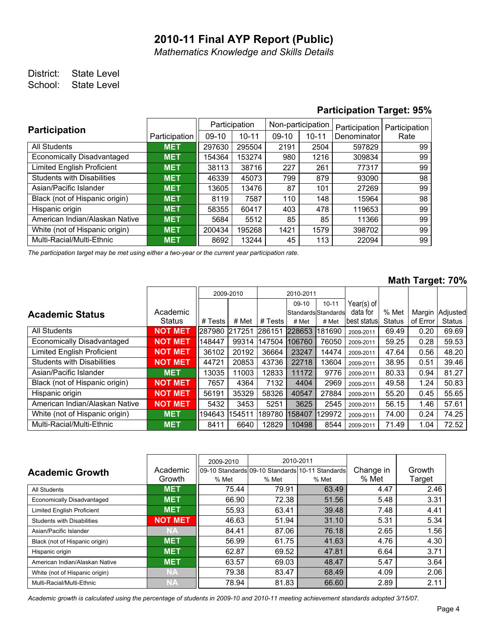*Mathematics Knowledge and Skills Details*

### District: State Level School: State Level

#### **Participation Target: 95%**

| <b>Participation</b>              |               | Participation |           | Non-participation |           | Participation | Participation |  |
|-----------------------------------|---------------|---------------|-----------|-------------------|-----------|---------------|---------------|--|
|                                   | Participation | 09-10         | $10 - 11$ | $09-10$           | $10 - 11$ | Denominator   | Rate          |  |
| All Students                      | <b>MET</b>    | 297630        | 295504    | 2191              | 2504      | 597829        | 99            |  |
| Economically Disadvantaged        | <b>MET</b>    | 154364        | 153274    | 980               | 1216      | 309834        | 99            |  |
| <b>Limited English Proficient</b> | <b>MET</b>    | 38113         | 38716     | 227               | 261       | 77317         | 99            |  |
| <b>Students with Disabilities</b> | <b>MET</b>    | 46339         | 45073     | 799               | 879       | 93090         | 98            |  |
| Asian/Pacific Islander            | <b>MET</b>    | 13605         | 13476     | 87                | 101       | 27269         | 99            |  |
| Black (not of Hispanic origin)    | <b>MET</b>    | 8119          | 7587      | 110               | 148       | 15964         | 98            |  |
| Hispanic origin                   | <b>MET</b>    | 58355         | 60417     | 403               | 478       | 119653        | 99            |  |
| American Indian/Alaskan Native    | <b>MET</b>    | 5684          | 5512      | 85                | 85        | 11366         | 99            |  |
| White (not of Hispanic origin)    | <b>MET</b>    | 200434        | 195268    | 1421              | 1579      | 398702        | 99            |  |
| Multi-Racial/Multi-Ethnic         | <b>MET</b>    | 8692          | 13244     | 45                | 113       | 22094         | 99            |  |

*The participation target may be met using either a two-year or the current year participation rate.*

#### **Math Target: 70%**

|                                   |                |         | 2009-2010 | 2010-2011 |                       |           |               |               |          |          |
|-----------------------------------|----------------|---------|-----------|-----------|-----------------------|-----------|---------------|---------------|----------|----------|
|                                   |                |         |           |           | $09-10$               | $10 - 11$ | Year(s) of    |               |          |          |
| <b>Academic Status</b>            | Academic       |         |           |           | İStandardsİStandardsİ |           | data for      | % Met         | Margin   | Adjusted |
|                                   | <b>Status</b>  | # Tests | # Met     | # Tests   | # Met                 | # Met     | Ibest statusl | <b>Status</b> | of Error | Status   |
| <b>All Students</b>               | <b>NOT MET</b> | 287980  | 217251    | 286151    | 228653                | 181690    | 2009-2011     | 69.49         | 0.20     | 69.69    |
| Economically Disadvantaged        | <b>NOT MET</b> | 148447  | 99314     | 147504    | 106760                | 76050     | 2009-2011     | 59.25         | 0.28     | 59.53    |
| <b>Limited English Proficient</b> | <b>NOT MET</b> | 36102   | 20192     | 36664     | 23247                 | 14474     | 2009-2011     | 47.64         | 0.56     | 48.20    |
| <b>Students with Disabilities</b> | <b>NOT MET</b> | 44721   | 20853     | 43736     | 22718                 | 13604     | 2009-2011     | 38.95         | 0.51     | 39.46    |
| Asian/Pacific Islander            | <b>MET</b>     | 13035   | 11003     | 12833     | 11172                 | 9776      | 2009-2011     | 80.33         | 0.94     | 81.27    |
| Black (not of Hispanic origin)    | <b>NOT MET</b> | 7657    | 4364      | 7132      | 4404                  | 2969      | 2009-2011     | 49.58         | 1.24     | 50.83    |
| Hispanic origin                   | <b>NOT MET</b> | 56191   | 35329     | 58326     | 40547                 | 27884     | 2009-2011     | 55.20         | 0.45     | 55.65    |
| American Indian/Alaskan Native    | <b>NOT MET</b> | 5432    | 3453      | 5251      | 3625                  | 2545      | 2009-2011     | 56.15         | 1.46     | 57.61    |
| White (not of Hispanic origin)    | <b>MET</b>     | 194643  | 154511    | 189780    | 158407                | 129972    | 2009-2011     | 74.00         | 0.24     | 74.25    |
| Multi-Racial/Multi-Ethnic         | <b>MET</b>     | 8411    | 6640      | 12829     | 10498                 | 8544      | 2009-2011     | 71.49         | 1.04     | 72.52    |

|                                   |                | 2009-2010 | 2010-2011 |                                                   |           |        |
|-----------------------------------|----------------|-----------|-----------|---------------------------------------------------|-----------|--------|
| <b>Academic Growth</b>            | Academic       |           |           | I09-10 StandardsI09-10 StandardsI10-11 StandardsI | Change in | Growth |
|                                   | Growth         | % Met     | % Met     | % Met                                             | % Met     | Target |
| All Students                      | <b>MET</b>     | 75.44     | 79.91     | 63.49                                             | 4.47      | 2.46   |
| <b>Economically Disadvantaged</b> | <b>MET</b>     | 66.90     | 72.38     | 51.56                                             | 5.48      | 3.31   |
| <b>Limited English Proficient</b> | <b>MET</b>     | 55.93     | 63.41     | 39.48                                             | 7.48      | 4.41   |
| <b>Students with Disabilities</b> | <b>NOT MET</b> | 46.63     | 51.94     | 31.10                                             | 5.31      | 5.34   |
| Asian/Pacific Islander            | <b>NA</b>      | 84.41     | 87.06     | 76.18                                             | 2.65      | 1.56   |
| Black (not of Hispanic origin)    | <b>MET</b>     | 56.99     | 61.75     | 41.63                                             | 4.76      | 4.30   |
| Hispanic origin                   | <b>MET</b>     | 62.87     | 69.52     | 47.81                                             | 6.64      | 3.71   |
| American Indian/Alaskan Native    | <b>MET</b>     | 63.57     | 69.03     | 48.47                                             | 5.47      | 3.64   |
| White (not of Hispanic origin)    | <b>NA</b>      | 79.38     | 83.47     | 68.49                                             | 4.09      | 2.06   |
| Multi-Racial/Multi-Ethnic         | ΝA             | 78.94     | 81.83     | 66.60                                             | 2.89      | 2.11   |

*Academic growth is calculated using the percentage of students in 2009-10 and 2010-11 meeting achievement standards adopted 3/15/07.*